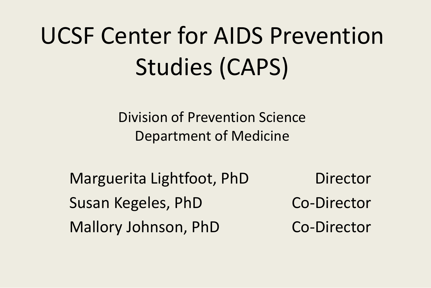# UCSF Center for AIDS Prevention Studies (CAPS)

Division of Prevention Science Department of Medicine

Marguerita Lightfoot, PhD Director Susan Kegeles, PhD Co-Director Mallory Johnson, PhD Co-Director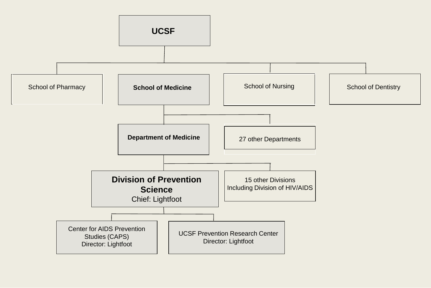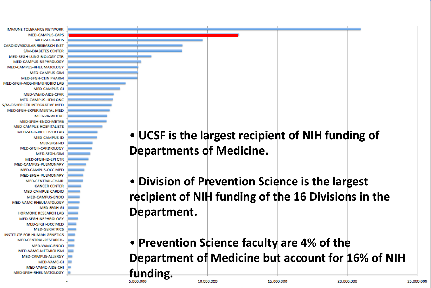

- **UCSF is the largest recipient of NIH funding of Departments of Medicine.**
- **Division of Prevention Science is the largest recipient of NIH funding of the 16 Divisions in the Department.**
- **Prevention Science faculty are 4% of the Department of Medicine but account for 16% of NIH funding.**

15,000,000

20,000,000

25,000,000

10,000,000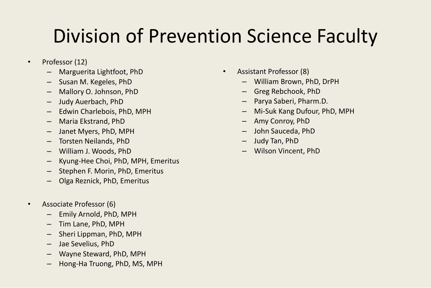#### Division of Prevention Science Faculty

- Professor (12)
	- Marguerita Lightfoot, PhD
	- Susan M. Kegeles, PhD
	- Mallory O. Johnson, PhD
	- Judy Auerbach, PhD
	- Edwin Charlebois, PhD, MPH
	- Maria Ekstrand, PhD
	- Janet Myers, PhD, MPH
	- Torsten Neilands, PhD
	- William J. Woods, PhD
	- Kyung-Hee Choi, PhD, MPH, Emeritus
	- Stephen F. Morin, PhD, Emeritus
	- Olga Reznick, PhD, Emeritus
- Associate Professor (6)
	- Emily Arnold, PhD, MPH
	- Tim Lane, PhD, MPH
	- Sheri Lippman, PhD, MPH
	- Jae Sevelius, PhD
	- Wayne Steward, PhD, MPH
	- Hong-Ha Truong, PhD, MS, MPH
- Assistant Professor (8)
	- William Brown, PhD, DrPH
	- Greg Rebchook, PhD
	- Parya Saberi, Pharm.D.
	- Mi-Suk Kang Dufour, PhD, MPH
	- Amy Conroy, PhD
	- John Sauceda, PhD
	- Judy Tan, PhD
	- Wilson Vincent, PhD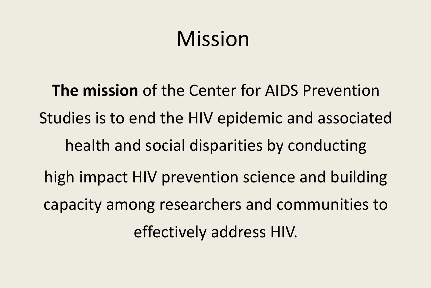# Mission

**The mission** of the Center for AIDS Prevention Studies is to end the HIV epidemic and associated health and social disparities by conducting high impact HIV prevention science and building capacity among researchers and communities to effectively address HIV.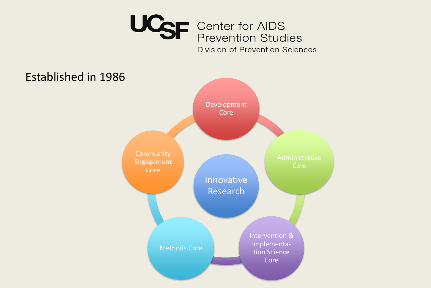

**Division of Prevention Sciences** 

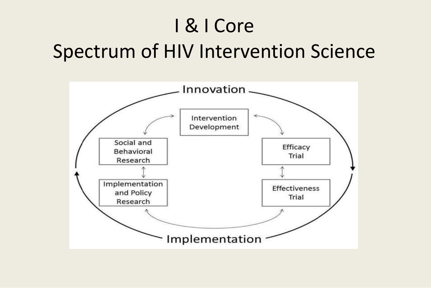## I & I Core Spectrum of HIV Intervention Science

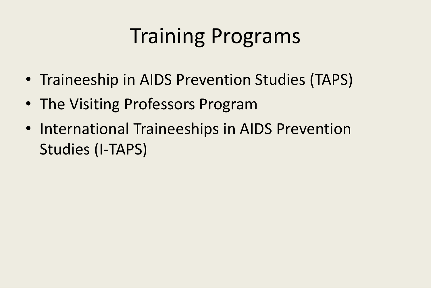# Training Programs

- Traineeship in AIDS Prevention Studies (TAPS)
- The Visiting Professors Program
- International Traineeships in AIDS Prevention Studies (I-TAPS)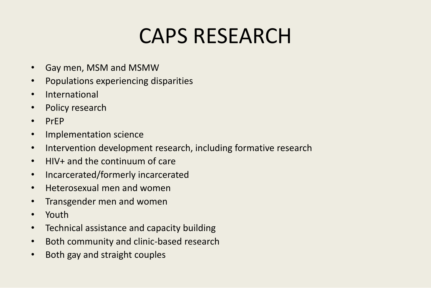## CAPS RESEARCH

- Gay men, MSM and MSMW
- Populations experiencing disparities
- International
- Policy research
- PrEP
- Implementation science
- Intervention development research, including formative research
- HIV+ and the continuum of care
- Incarcerated/formerly incarcerated
- Heterosexual men and women
- Transgender men and women
- Youth
- Technical assistance and capacity building
- Both community and clinic-based research
- Both gay and straight couples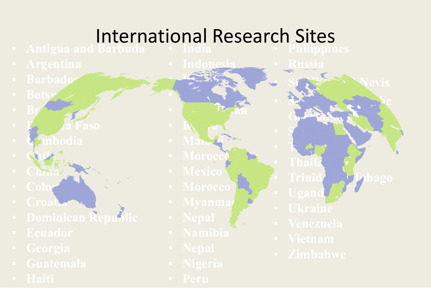#### International Research Sites • Philippines

- India
- 
- 
- Botsy
- Br $\sim$
- $\mathbf{F}_2$  da Faso
- **Cambodia**
- Chile
- China
- 
- Croati
- Dominican Republic
- 
- 
- 
- 
- Indonesia • Iran • Japan
- Kazakhstan
- $\mathbf{K} \setminus \mathbf{a}$ • Malay
- 
- 
- 
- 
- 
- 
- 
- 
- 

• Russia

• Street, Nevis

• St. Vincent and the

Gertadines

 $\bullet$  sample  $\mathcal{A}$ 

- 
- Trinid<sub>i</sub>

· Tanzania

- 
- Ugand • Ukraine
	-
	-
	-